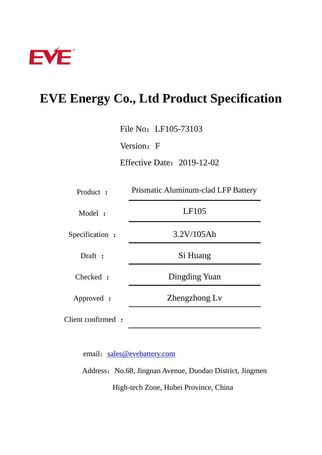

# **EVE Energy Co., Ltd Product Specification**

File No: LF105-73103

Version: F

Effective Date:2019-12-02

| Product :          | Prismatic Aluminum-clad LFP Battery |  |
|--------------------|-------------------------------------|--|
| Model:             | LF105                               |  |
| Specification :    | 3.2V/105Ah                          |  |
| Draft :            | Si Huang                            |  |
| Checked :          | Dingding Yuan                       |  |
| Approved :         | Zhengzhong Lv                       |  |
| Client confirmed : |                                     |  |

email: [sales@evebattery.com](mailto:sales@evebattery.com)

Address: No.68, Jingnan Avenue, Duodao District, Jingmen High-tech Zone, Hubei Province, China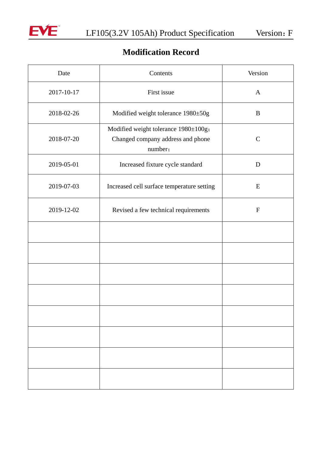

# **Modification Record**

| Date       | Contents                                                                             | Version       |
|------------|--------------------------------------------------------------------------------------|---------------|
| 2017-10-17 | First issue                                                                          | $\mathbf{A}$  |
| 2018-02-26 | Modified weight tolerance 1980±50g                                                   | $\bf{B}$      |
| 2018-07-20 | Modified weight tolerance 1980±100g;<br>Changed company address and phone<br>number; | $\mathcal{C}$ |
| 2019-05-01 | Increased fixture cycle standard                                                     | D             |
| 2019-07-03 | Increased cell surface temperature setting                                           | E             |
| 2019-12-02 | Revised a few technical requirements                                                 | ${\bf F}$     |
|            |                                                                                      |               |
|            |                                                                                      |               |
|            |                                                                                      |               |
|            |                                                                                      |               |
|            |                                                                                      |               |
|            |                                                                                      |               |
|            |                                                                                      |               |
|            |                                                                                      |               |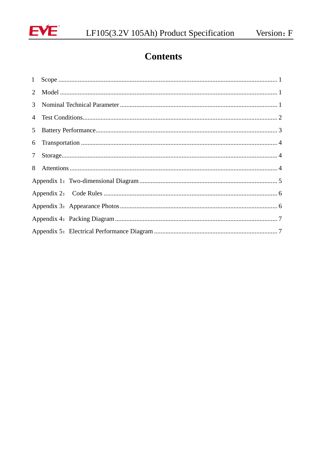

# **Contents**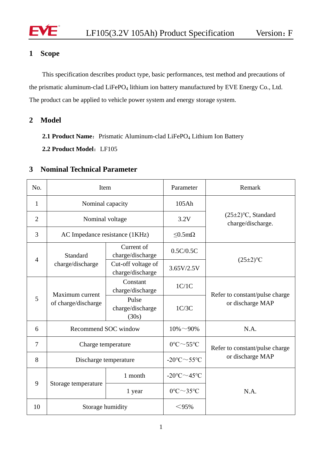

## <span id="page-3-0"></span>**1 Scope**

<span id="page-3-1"></span>This specification describes product type, basic performances, test method and precautions of the prismatic aluminum-clad LiFePO<sub>4</sub> lithium ion battery manufactured by EVE Energy Co., Ltd. The product can be applied to vehicle power system and energy storage system.

**2 Model**

2.1 **Product Name:** Prismatic Aluminum-clad LiFePO<sub>4</sub> Lithium Ion Battery

**2.2 Product Model**:LF105

### <span id="page-3-2"></span>**3 Nominal Technical Parameter**

| No.            | Item                                   |                                        | Parameter                                     | Remark                                             |
|----------------|----------------------------------------|----------------------------------------|-----------------------------------------------|----------------------------------------------------|
| $\mathbf{1}$   | Nominal capacity                       |                                        | 105Ah                                         |                                                    |
| $\overline{2}$ | Nominal voltage                        |                                        | 3.2V                                          | $(25\pm2)$ °C, Standard<br>charge/discharge.       |
| 3              | AC Impedance resistance (1KHz)         |                                        | $< 0.5$ m $\Omega$                            |                                                    |
| $\overline{4}$ | Standard<br>charge/discharge           | Current of<br>charge/discharge         | 0.5C/0.5C                                     | $(25\pm2)$ <sup>o</sup> C                          |
|                |                                        | Cut-off voltage of<br>charge/discharge | 3.65V/2.5V                                    |                                                    |
| 5              | Maximum current<br>of charge/discharge | Constant<br>charge/discharge           | 1C/1C                                         | Refer to constant/pulse charge<br>or discharge MAP |
|                |                                        | Pulse<br>charge/discharge<br>(30s)     | 1C/3C                                         |                                                    |
| 6              | Recommend SOC window                   |                                        | $10\% \sim 90\%$                              | N.A.                                               |
| 7              | Charge temperature                     |                                        | $0^{\circ}C \sim 55^{\circ}C$                 | Refer to constant/pulse charge                     |
| 8              | Discharge temperature                  |                                        | -20 $\textdegree$ C $\sim$ 55 $\textdegree$ C | or discharge MAP                                   |
| 9              | Storage temperature                    | 1 month                                | $-20^{\circ}$ C $\sim$ 45°C                   | N.A.                                               |
|                |                                        | 1 year                                 | $0^{\circ}$ C $\sim$ 35 $^{\circ}$ C          |                                                    |
| 10             | Storage humidity                       |                                        | $<$ 95%                                       |                                                    |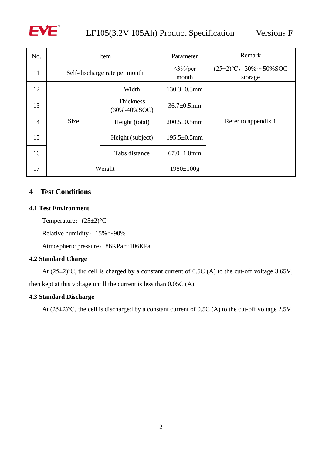

<span id="page-4-0"></span>

| No. | Item                          |                                         | Parameter              | Remark                                 |
|-----|-------------------------------|-----------------------------------------|------------------------|----------------------------------------|
| 11  | Self-discharge rate per month |                                         | $\leq$ 3%/per<br>month | $(25\pm2)$ °C, 30% ~50% SOC<br>storage |
| 12  |                               | Width                                   | $130.3 \pm 0.3$ mm     |                                        |
| 13  |                               | <b>Thickness</b><br>$(30\% - 40\% SOC)$ | $36.7 \pm 0.5$ mm      |                                        |
| 14  | <b>Size</b>                   | Height (total)                          | $200.5 \pm 0.5$ mm     | Refer to appendix 1                    |
| 15  |                               | Height (subject)                        | $195.5 \pm 0.5$ mm     |                                        |
| 16  |                               | Tabs distance                           | $67.0 \pm 1.0$ mm      |                                        |
| 17  | Weight                        |                                         | $1980 \pm 100$ g       |                                        |

### **4 Test Conditions**

#### **4.1 Test Environment**

Temperature:  $(25±2)$  °C

Relative humidity:  $15\% \sim 90\%$ 

Atmospheric pressure: 86KPa~106KPa

#### **4.2 Standard Charge**

At (25±2)℃, the cell is charged by a constant current of 0.5C (A) to the cut-off voltage 3.65V, then kept at this voltage untill the current is less than 0.05C (A).

#### **4.3 Standard Discharge**

<span id="page-4-1"></span>At  $(25\pm2)$ °C, the cell is discharged by a constant current of 0.5C (A) to the cut-off voltage 2.5V.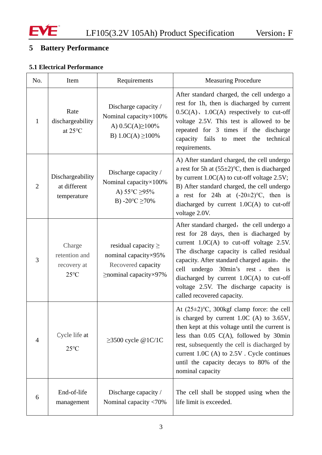

# **5 Battery Performance**

# **5.1 Electrical Performance**

| No.            | Item                                                     | Requirements                                                                                                      | <b>Measuring Procedure</b>                                                                                                                                                                                                                                                                                                                                                                      |
|----------------|----------------------------------------------------------|-------------------------------------------------------------------------------------------------------------------|-------------------------------------------------------------------------------------------------------------------------------------------------------------------------------------------------------------------------------------------------------------------------------------------------------------------------------------------------------------------------------------------------|
| 1              | Rate<br>dischargeability<br>at 25°C                      | Discharge capacity /<br>Nominal capacity $\times$ 100%<br>A) $0.5C(A) \ge 100\%$<br>B) $1.0C(A) \ge 100\%$        | After standard charged, the cell undergo a<br>rest for 1h, then is diacharged by current<br>$0.5C(A)$ , $1.0C(A)$ respectively to cut-off<br>voltage 2.5V. This test is allowed to be<br>repeated for 3 times if the discharge<br>capacity<br>fails<br>technical<br>the<br>to meet<br>requirements.                                                                                             |
| $\overline{2}$ | Dischargeability<br>at different<br>temperature          | Discharge capacity /<br>Nominal capacity ×100%<br>A) $55^{\circ}C \geq 95\%$<br>B) -20 $\textdegree$ C $\geq$ 70% | A) After standard charged, the cell undergo<br>a rest for 5h at $(55\pm2)$ °C, then is diacharged<br>by current $1.0C(A)$ to cut-off voltage 2.5V;<br>B) After standard charged, the cell undergo<br>a rest for 24h at $(-20\pm2)$ °C, then is<br>diacharged by current $1.0C(A)$ to cut-off<br>voltage 2.0V.                                                                                   |
| 3              | Charge<br>retention and<br>recovery at<br>$25^{\circ}$ C | residual capacity $\geq$<br>nominal capacity ×95%<br>Recovered capacity<br>$\ge$ nominal capacity $\times$ 97%    | After standard charged, the cell undergo a<br>rest for 28 days, then is diacharged by<br>current $1.0C(A)$ to cut-off voltage 2.5V.<br>The discharge capacity is called residual<br>capacity. After standard charged again, the<br>undergo 30min's rest, then is<br>cell<br>diacharged by current $1.0C(A)$ to cut-off<br>voltage 2.5V. The discharge capacity is<br>called recovered capacity. |
| $\overline{4}$ | Cycle life at<br>$25^{\circ}$ C                          | $\geq$ 3500 cycle @1C/1C                                                                                          | At $(25\pm2)$ °C, 300kgf clamp force: the cell<br>is charged by current $1.0C$ (A) to $3.65V$ ,<br>then kept at this voltage until the current is<br>less than $0.05$ C(A), followed by 30min<br>rest, subsequently the cell is diacharged by<br>current 1.0C (A) to $2.5V$ . Cycle continues<br>until the capacity decays to 80% of the<br>nominal capacity                                    |
| 6              | End-of-life<br>management                                | Discharge capacity /<br>Nominal capacity <70%                                                                     | The cell shall be stopped using when the<br>life limit is exceeded.                                                                                                                                                                                                                                                                                                                             |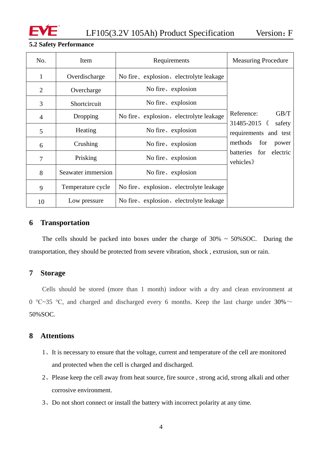

#### **5.2 Safety Performance**

| No.            | Item               | Requirements                            | <b>Measuring Procedure</b>                     |
|----------------|--------------------|-----------------------------------------|------------------------------------------------|
| 1              | Overdischarge      | No fire, explosion, electrolyte leakage |                                                |
| $\overline{2}$ | Overcharge         | No fire, explosion                      |                                                |
| 3              | Shortcircuit       | No fire, explosion                      |                                                |
| $\overline{4}$ | Dropping           | No fire, explosion, electrolyte leakage | GB/T<br>Reference:<br>$31485 - 2015$ $\langle$ |
| 5              | Heating            | No fire, explosion                      | safety<br>requirements and test                |
| 6              | Crushing           | No fire, explosion                      | methods<br>for<br>power                        |
| 7              | Prisking           | No fire, explosion                      | batteries for electric<br>vehicles             |
| 8              | Seawater immersion | No fire, explosion                      |                                                |
| 9              | Temperature cycle  | No fire, explosion, electrolyte leakage |                                                |
| 10             | Low pressure       | No fire, explosion, electrolyte leakage |                                                |

### <span id="page-6-0"></span>**6 Transportation**

The cells should be packed into boxes under the charge of  $30\% \sim 50\%$  SOC. During the transportation, they should be protected from severe vibration, shock , extrusion, sun or rain.

#### <span id="page-6-1"></span>**7 Storage**

Cells should be stored (more than 1 month) indoor with a dry and clean environment at 0 °C~35 °C, and charged and discharged every 6 months. Keep the last charge under 30%  $\sim$ 50%SOC.

### <span id="page-6-2"></span>**8 Attentions**

- 1、It is necessary to ensure that the voltage, current and temperature of the cell are monitored and protected when the cell is charged and discharged.
- 2、Please keep the cell away from heat source, fire source , strong acid, strong alkali and other corrosive environment.
- 3、Do not short connect or install the battery with incorrect polarity at any time.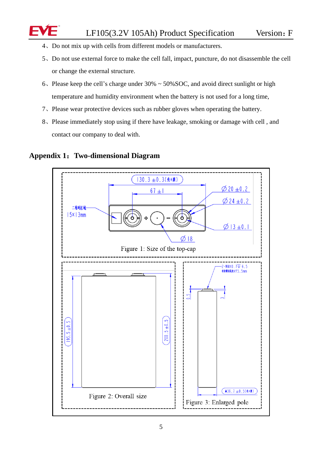- 4、Do not mix up with cells from different models or manufacturers.
- 5、Do not use external force to make the cell fall, impact, puncture, do not disassemble the cell or change the external structure.
- 6、Please keep the cell's charge under 30% ~ 50%SOC, and avoid direct sunlight or high temperature and humidity environment when the battery is not used for a long time,
- 7、Please wear protective devices such as rubber gloves when operating the battery.
- 8、Please immediately stop using if there have leakage, smoking or damage with cell , and contact our company to deal with.



## <span id="page-7-0"></span>**Appendix 1**:**Two-dimensional Diagram**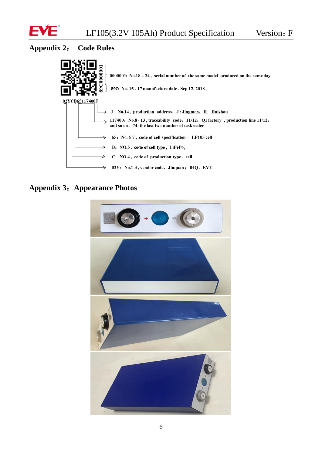

## <span id="page-8-0"></span>**Appendix 2**: **Code Rules**



# **Appendix 3**:**Appearance Photos**